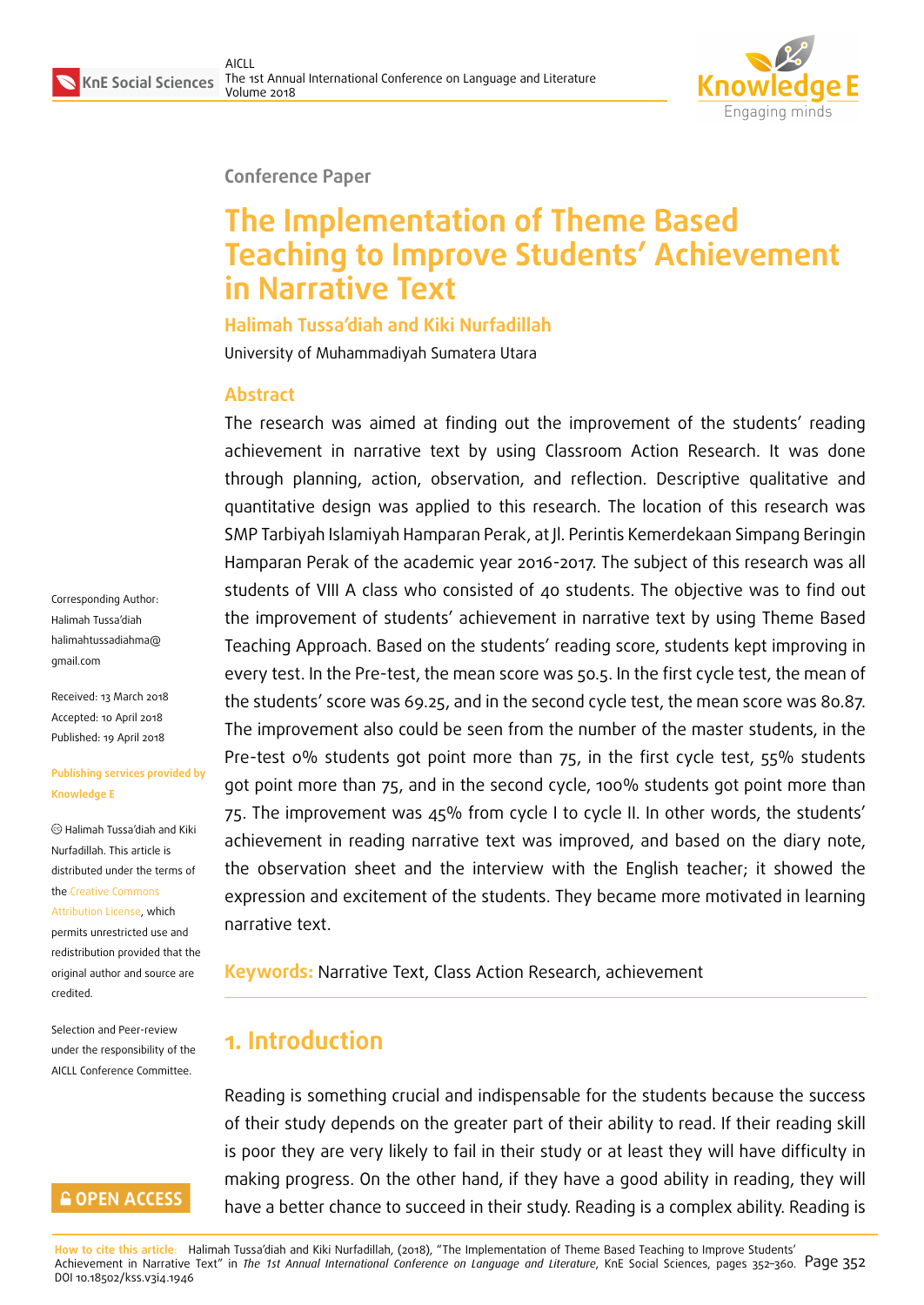

#### **Conference Paper**

# **The Implementation of Theme Based Teaching to Improve Students' Achievement in Narrative Text**

**Halimah Tussa'diah and Kiki Nurfadillah**

University of Muhammadiyah Sumatera Utara

#### **Abstract**

The research was aimed at finding out the improvement of the students' reading achievement in narrative text by using Classroom Action Research. It was done through planning, action, observation, and reflection. Descriptive qualitative and quantitative design was applied to this research. The location of this research was SMP Tarbiyah Islamiyah Hamparan Perak, at Jl. Perintis Kemerdekaan Simpang Beringin Hamparan Perak of the academic year 2016-2017. The subject of this research was all students of VIII A class who consisted of 40 students. The objective was to find out the improvement of students' achievement in narrative text by using Theme Based Teaching Approach. Based on the students' reading score, students kept improving in every test. In the Pre-test, the mean score was 50.5. In the first cycle test, the mean of the students' score was 69.25, and in the second cycle test, the mean score was 80.87. The improvement also could be seen from the number of the master students, in the Pre-test 0% students got point more than 75, in the first cycle test, 55% students got point more than 75, and in the second cycle, 100% students got point more than 75. The improvement was 45% from cycle I to cycle II. In other words, the students' achievement in reading narrative text was improved, and based on the diary note, the observation sheet and the interview with the English teacher; it showed the expression and excitement of the students. They became more motivated in learning narrative text.

**Keywords:** Narrative Text, Class Action Research, achievement

# **1. Introduction**

Reading is something crucial and indispensable for the students because the success of their study depends on the greater part of their ability to read. If their reading skill is poor they are very likely to fail in their study or at least they will have difficulty in making progress. On the other hand, if they have a good ability in reading, they will have a better chance to succeed in their study. Reading is a complex ability. Reading is

**How to cite this article**: Halimah Tussa'diah and Kiki Nurfadillah, (2018), "The Implementation of Theme Based Teaching to Improve Students' Achievement in Narrative Text" in *The 1st Annual International Conference on Language and Literature*, KnE Social Sciences, pages 352-360. Page 352 DOI 10.18502/kss.v3i4.1946

Corresponding Author: Halimah Tussa'diah halimahtussadiahma@ gmail.com

Received: 13 March 2018 [Accepted: 10 April 2018](mailto:halimahtussadiahma@gmail.com) [Published:](mailto:halimahtussadiahma@gmail.com) 19 April 2018

#### **Publishing services provided by Knowledge E**

Halimah Tussa'diah and Kiki Nurfadillah. This article is distributed under the terms of the Creative Commons Attribution License, which permits unrestricted use and redistribution provided that the ori[ginal author and sou](https://creativecommons.org/licenses/by/4.0/)rce are [credited.](https://creativecommons.org/licenses/by/4.0/)

Selection and Peer-review under the responsibility of the AICLL Conference Committee.

#### **GOPEN ACCESS**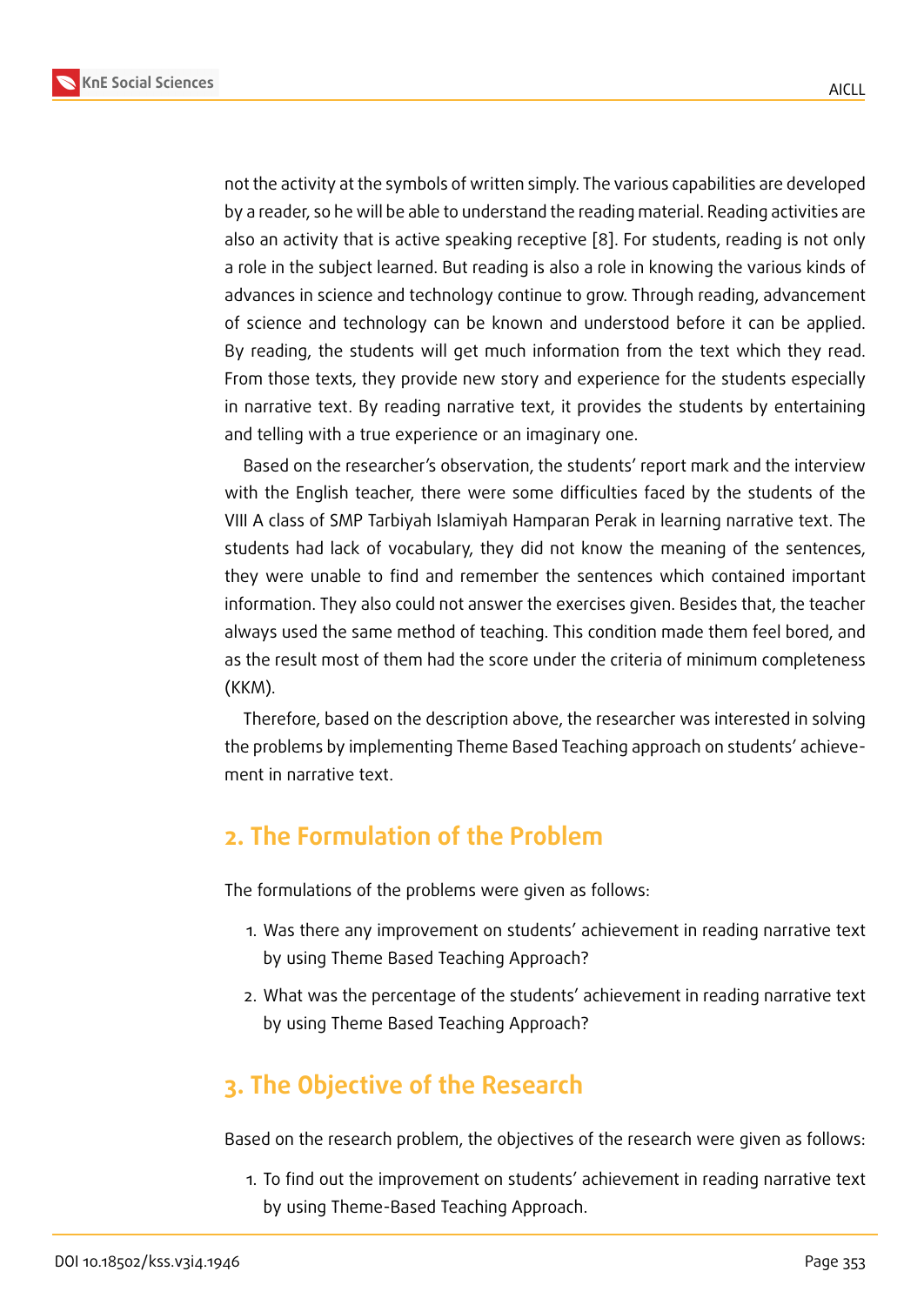not the activity at the symbols of written simply. The various capabilities are developed by a reader, so he will be able to understand the reading material. Reading activities are also an activity that is active speaking receptive [8]. For students, reading is not only a role in the subject learned. But reading is also a role in knowing the various kinds of advances in science and technology continue to grow. Through reading, advancement of science and technology can be known and u[nd](#page-8-0)erstood before it can be applied. By reading, the students will get much information from the text which they read. From those texts, they provide new story and experience for the students especially in narrative text. By reading narrative text, it provides the students by entertaining and telling with a true experience or an imaginary one.

Based on the researcher's observation, the students' report mark and the interview with the English teacher, there were some difficulties faced by the students of the VIII A class of SMP Tarbiyah Islamiyah Hamparan Perak in learning narrative text. The students had lack of vocabulary, they did not know the meaning of the sentences, they were unable to find and remember the sentences which contained important information. They also could not answer the exercises given. Besides that, the teacher always used the same method of teaching. This condition made them feel bored, and as the result most of them had the score under the criteria of minimum completeness (KKM).

Therefore, based on the description above, the researcher was interested in solving the problems by implementing Theme Based Teaching approach on students' achievement in narrative text.

## **2. The Formulation of the Problem**

The formulations of the problems were given as follows:

- 1. Was there any improvement on students' achievement in reading narrative text by using Theme Based Teaching Approach?
- 2. What was the percentage of the students' achievement in reading narrative text by using Theme Based Teaching Approach?

# **3. The Objective of the Research**

Based on the research problem, the objectives of the research were given as follows:

1. To find out the improvement on students' achievement in reading narrative text by using Theme-Based Teaching Approach.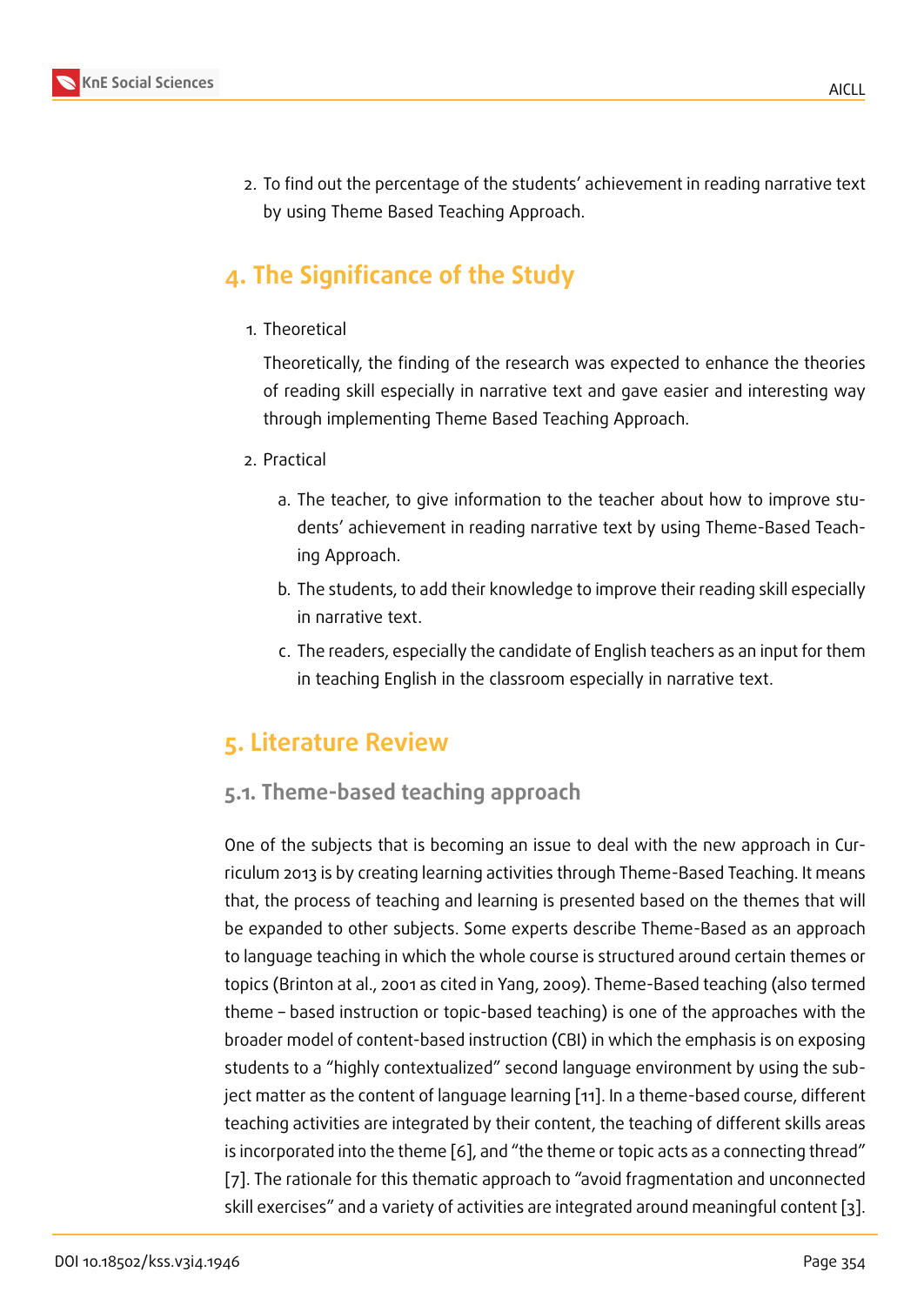2. To find out the percentage of the students' achievement in reading narrative text by using Theme Based Teaching Approach.

# **4. The Significance of the Study**

1. Theoretical

Theoretically, the finding of the research was expected to enhance the theories of reading skill especially in narrative text and gave easier and interesting way through implementing Theme Based Teaching Approach.

- 2. Practical
	- a. The teacher, to give information to the teacher about how to improve students' achievement in reading narrative text by using Theme-Based Teaching Approach.
	- b. The students, to add their knowledge to improve their reading skill especially in narrative text.
	- c. The readers, especially the candidate of English teachers as an input for them in teaching English in the classroom especially in narrative text.

# **5. Literature Review**

### **5.1. Theme-based teaching approach**

One of the subjects that is becoming an issue to deal with the new approach in Curriculum 2013 is by creating learning activities through Theme-Based Teaching. It means that, the process of teaching and learning is presented based on the themes that will be expanded to other subjects. Some experts describe Theme-Based as an approach to language teaching in which the whole course is structured around certain themes or topics (Brinton at al., 2001 as cited in Yang, 2009). Theme-Based teaching (also termed theme – based instruction or topic-based teaching) is one of the approaches with the broader model of content-based instruction (CBI) in which the emphasis is on exposing students to a "highly contextualized" second language environment by using the subject matter as the content of language learning [11]. In a theme-based course, different teaching activities are integrated by their content, the teaching of different skills areas is incorporated into the theme [6], and "the theme or topic acts as a connecting thread" [7]. The rationale for this thematic approach to ["av](#page-8-1)oid fragmentation and unconnected skill exercises" and a variety of activities are integrated around meaningful content [3].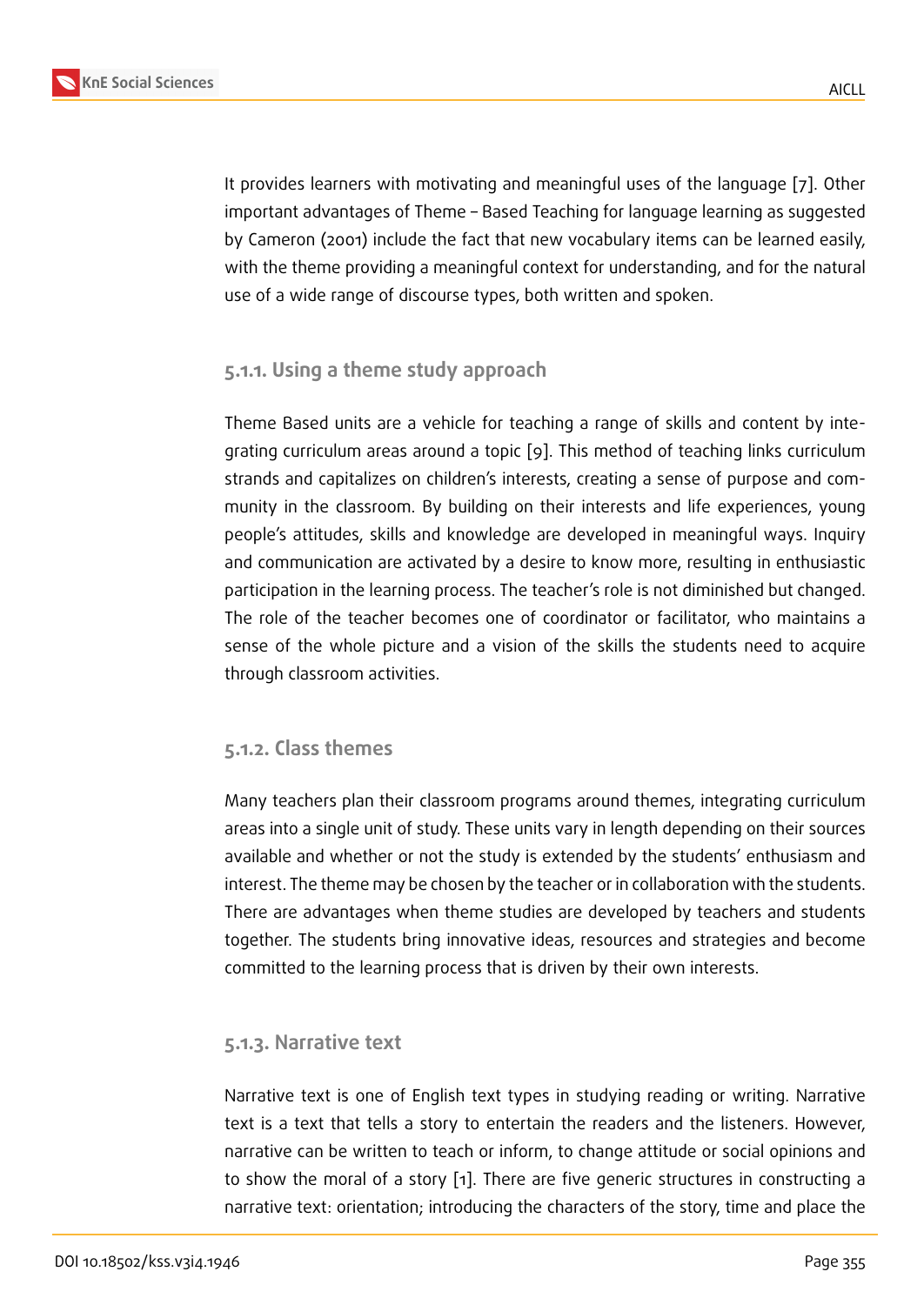It provides learners with motivating and meaningful uses of the language [7]. Other important advantages of Theme – Based Teaching for language learning as suggested by Cameron (2001) include the fact that new vocabulary items can be learned easily, with the theme providing a meaningful context for understanding, and for t[he](#page-8-2) natural use of a wide range of discourse types, both written and spoken.

#### **5.1.1. Using a theme study approach**

Theme Based units are a vehicle for teaching a range of skills and content by integrating curriculum areas around a topic [9]. This method of teaching links curriculum strands and capitalizes on children's interests, creating a sense of purpose and community in the classroom. By building on their interests and life experiences, young people's attitudes, skills and knowledge [a](#page-8-3)re developed in meaningful ways. Inquiry and communication are activated by a desire to know more, resulting in enthusiastic participation in the learning process. The teacher's role is not diminished but changed. The role of the teacher becomes one of coordinator or facilitator, who maintains a sense of the whole picture and a vision of the skills the students need to acquire through classroom activities.

#### **5.1.2. Class themes**

Many teachers plan their classroom programs around themes, integrating curriculum areas into a single unit of study. These units vary in length depending on their sources available and whether or not the study is extended by the students' enthusiasm and interest. The theme may be chosen by the teacher or in collaboration with the students. There are advantages when theme studies are developed by teachers and students together. The students bring innovative ideas, resources and strategies and become committed to the learning process that is driven by their own interests.

#### **5.1.3. Narrative text**

Narrative text is one of English text types in studying reading or writing. Narrative text is a text that tells a story to entertain the readers and the listeners. However, narrative can be written to teach or inform, to change attitude or social opinions and to show the moral of a story [1]. There are five generic structures in constructing a narrative text: orientation; introducing the characters of the story, time and place the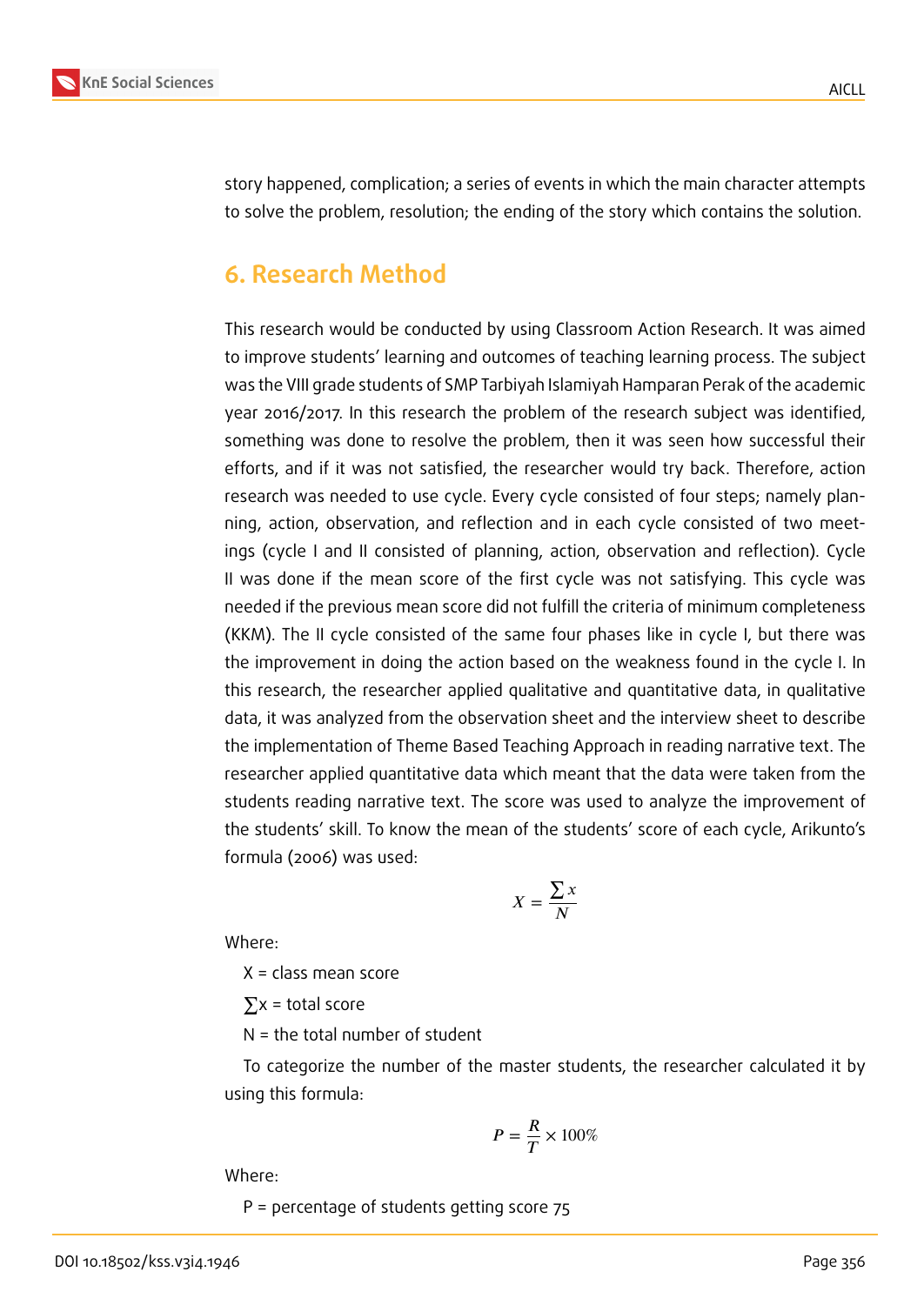

story happened, complication; a series of events in which the main character attempts to solve the problem, resolution; the ending of the story which contains the solution.

## **6. Research Method**

This research would be conducted by using Classroom Action Research. It was aimed to improve students' learning and outcomes of teaching learning process. The subject was the VIII grade students of SMP Tarbiyah Islamiyah Hamparan Perak of the academic year 2016/2017. In this research the problem of the research subject was identified, something was done to resolve the problem, then it was seen how successful their efforts, and if it was not satisfied, the researcher would try back. Therefore, action research was needed to use cycle. Every cycle consisted of four steps; namely planning, action, observation, and reflection and in each cycle consisted of two meetings (cycle I and II consisted of planning, action, observation and reflection). Cycle II was done if the mean score of the first cycle was not satisfying. This cycle was needed if the previous mean score did not fulfill the criteria of minimum completeness (KKM). The II cycle consisted of the same four phases like in cycle I, but there was the improvement in doing the action based on the weakness found in the cycle I. In this research, the researcher applied qualitative and quantitative data, in qualitative data, it was analyzed from the observation sheet and the interview sheet to describe the implementation of Theme Based Teaching Approach in reading narrative text. The researcher applied quantitative data which meant that the data were taken from the students reading narrative text. The score was used to analyze the improvement of the students' skill. To know the mean of the students' score of each cycle, Arikunto's formula (2006) was used:

$$
X = \frac{\sum x}{N}
$$

Where:

X = class mean score

 $\Sigma$ x = total score

N = the total number of student

To categorize the number of the master students, the researcher calculated it by using this formula:

$$
P = \frac{R}{T} \times 100\%
$$

Where:

P = percentage of students getting score 75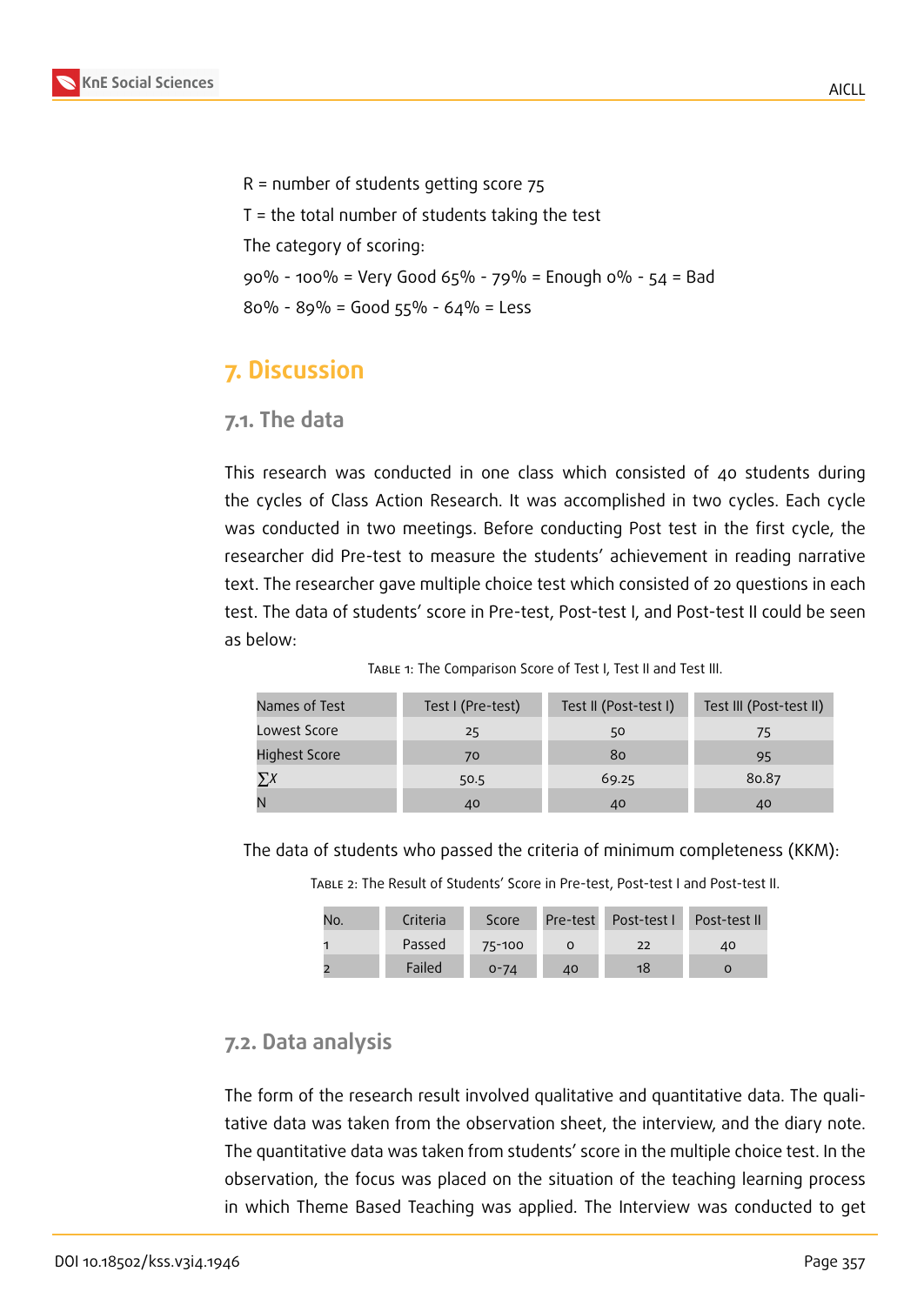

R = number of students getting score 75 T = the total number of students taking the test The category of scoring: 90% - 100% = Very Good 65% - 79% = Enough 0% - 54 = Bad 80% - 89% = Good 55% - 64% = Less

# **7. Discussion**

#### **7.1. The data**

This research was conducted in one class which consisted of 40 students during the cycles of Class Action Research. It was accomplished in two cycles. Each cycle was conducted in two meetings. Before conducting Post test in the first cycle, the researcher did Pre-test to measure the students' achievement in reading narrative text. The researcher gave multiple choice test which consisted of 20 questions in each test. The data of students' score in Pre-test, Post-test I, and Post-test II could be seen as below:

| Names of Test | Test I (Pre-test) | Test II (Post-test I) | Test III (Post-test II) |
|---------------|-------------------|-----------------------|-------------------------|
| Lowest Score  | 25                | 50                    | 75                      |
| Highest Score | 70                | 80                    | 95                      |
|               | 50.5              | 69.25                 | 80.87                   |
|               | 40                | 40                    | 40                      |

Table 1: The Comparison Score of Test I, Test II and Test III.

The data of students who passed the criteria of minimum completeness (KKM):

Table 2: The Result of Students' Score in Pre-test, Post-test I and Post-test II.

| No. | Criteria | Score    |    | Pre-test Post-test L | Post-test II |
|-----|----------|----------|----|----------------------|--------------|
|     | Passed   | 75-100   |    | 22                   | 40           |
|     | Failed   | $0 - 74$ | 40 | 18                   |              |

### **7.2. Data analysis**

The form of the research result involved qualitative and quantitative data. The qualitative data was taken from the observation sheet, the interview, and the diary note. The quantitative data was taken from students' score in the multiple choice test. In the observation, the focus was placed on the situation of the teaching learning process in which Theme Based Teaching was applied. The Interview was conducted to get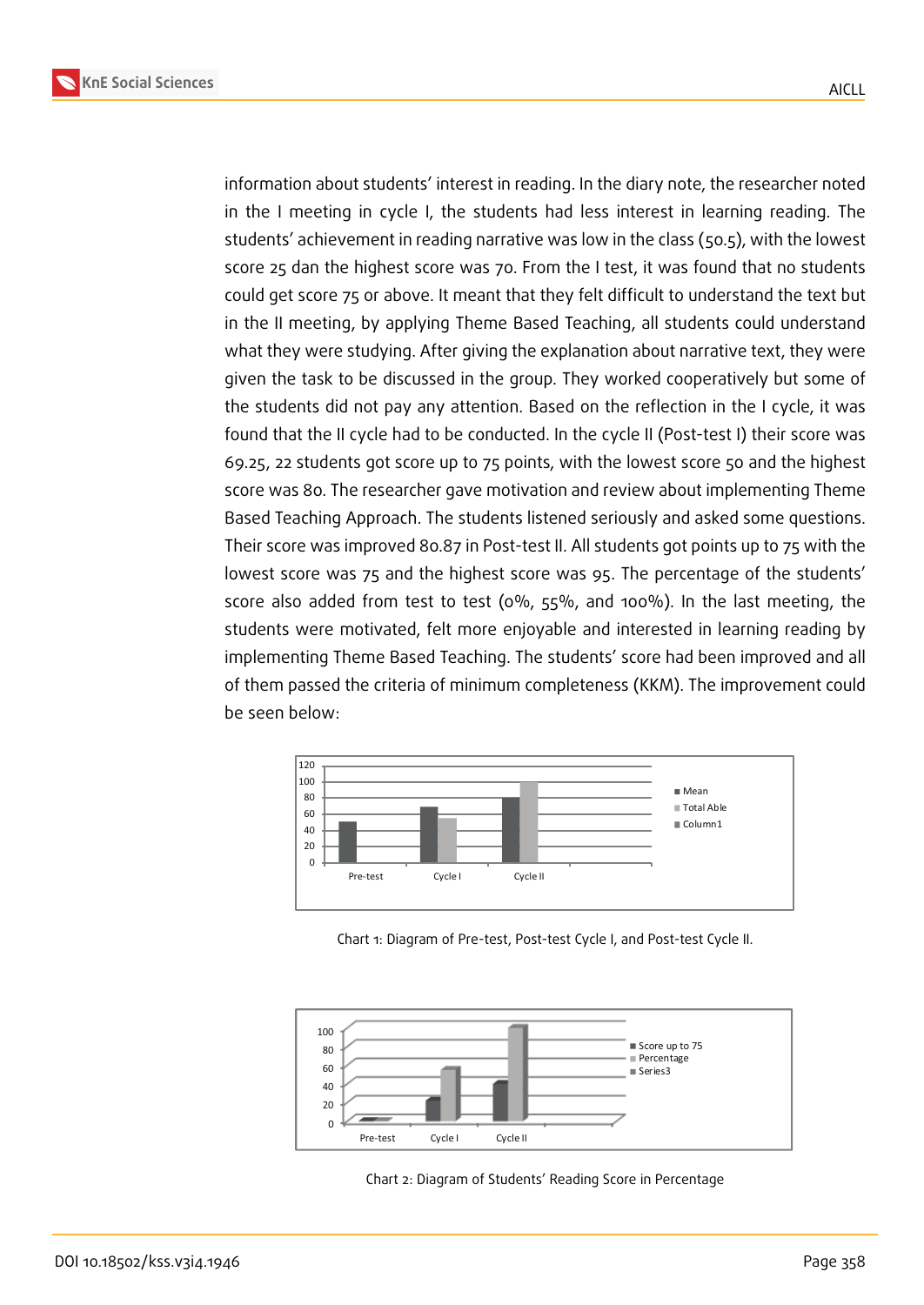

information about students' interest in reading. In the diary note, the researcher noted in the I meeting in cycle I, the students had less interest in learning reading. The students' achievement in reading narrative was low in the class (50.5), with the lowest score 25 dan the highest score was 70. From the I test, it was found that no students could get score 75 or above. It meant that they felt difficult to understand the text but in the II meeting, by applying Theme Based Teaching, all students could understand what they were studying. After giving the explanation about narrative text, they were given the task to be discussed in the group. They worked cooperatively but some of the students did not pay any attention. Based on the reflection in the I cycle, it was found that the II cycle had to be conducted. In the cycle II (Post-test I) their score was 69.25, 22 students got score up to 75 points, with the lowest score 50 and the highest score was 80. The researcher gave motivation and review about implementing Theme Based Teaching Approach. The students listened seriously and asked some questions. Their score was improved 80.87 in Post-test II. All students got points up to 75 with the lowest score was 75 and the highest score was 95. The percentage of the students' score also added from test to test (0%, 55%, and 100%). In the last meeting, the students were motivated, felt more enjoyable and interested in learning reading by implementing Theme Based Teaching. The students' score had been improved and all of them passed the criteria of minimum completeness (KKM). The improvement could be seen below:



Chart 1: Diagram of Pre-test, Post-test Cycle I, and Post-test Cycle II.



Chart 2: Diagram of Students' Reading Score in Percentage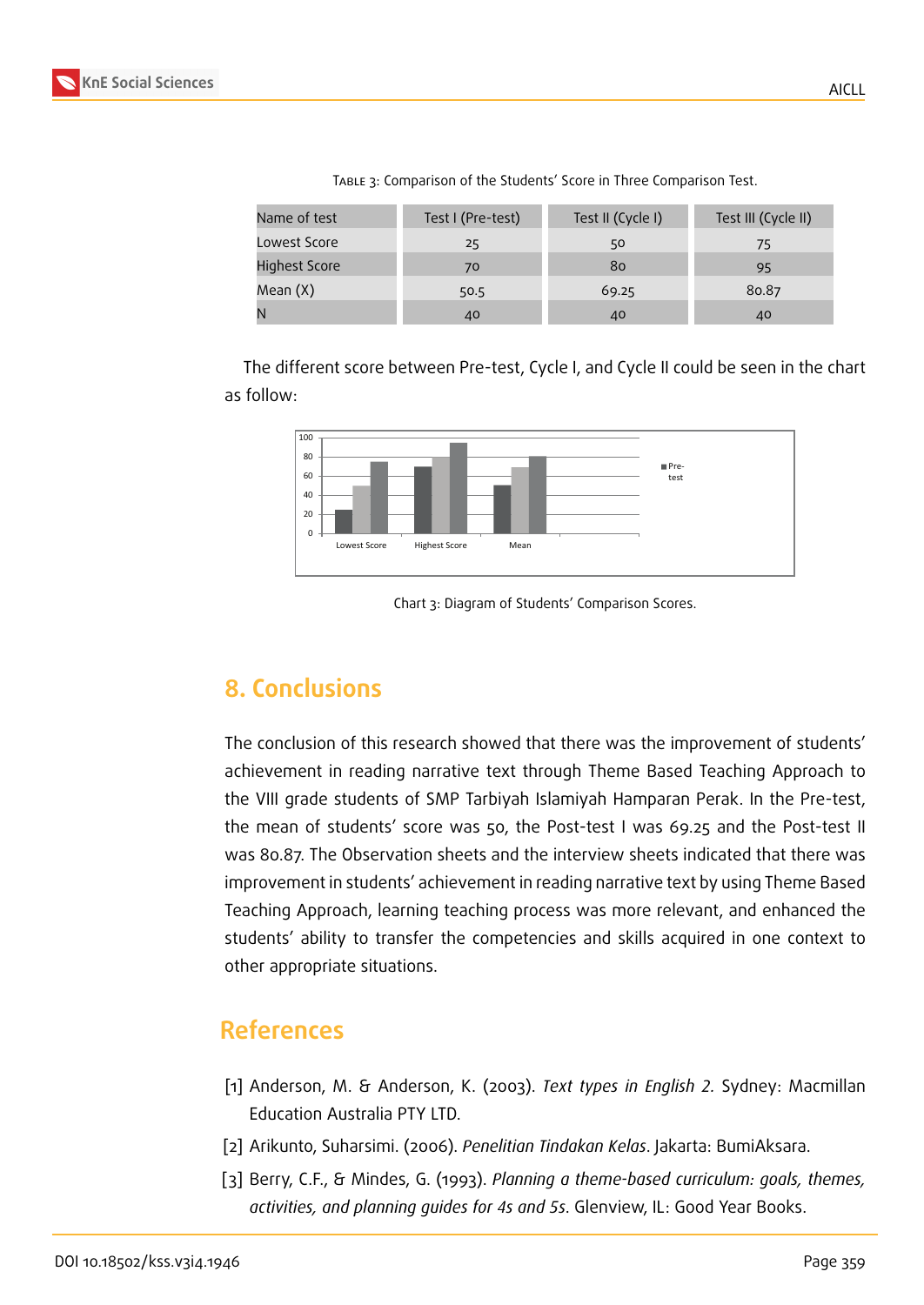

| Name of test         | Test I (Pre-test) | Test II (Cycle I) | Test III (Cycle II) |
|----------------------|-------------------|-------------------|---------------------|
| Lowest Score         | 25                | 50                | 75                  |
| <b>Highest Score</b> | 70                | 80                | 95                  |
| Mean (X)             | 50.5              | 69.25             | 80.87               |
|                      | 40                | 40                | 40                  |

Table 3: Comparison of the Students' Score in Three Comparison Test.

The different score between Pre-test, Cycle I, and Cycle II could be seen in the chart as follow:



Chart 3: Diagram of Students' Comparison Scores.

# **8. Conclusions**

The conclusion of this research showed that there was the improvement of students' achievement in reading narrative text through Theme Based Teaching Approach to the VIII grade students of SMP Tarbiyah Islamiyah Hamparan Perak. In the Pre-test, the mean of students' score was 50, the Post-test I was 69.25 and the Post-test II was 80.87. The Observation sheets and the interview sheets indicated that there was improvement in students' achievement in reading narrative text by using Theme Based Teaching Approach, learning teaching process was more relevant, and enhanced the students' ability to transfer the competencies and skills acquired in one context to other appropriate situations.

# **References**

- [1] Anderson, M. & Anderson, K. (2003). *Text types in English 2.* Sydney: Macmillan Education Australia PTY LTD.
- [2] Arikunto, Suharsimi. (2006). *Penelitian Tindakan Kelas*. Jakarta: BumiAksara.
- [3] Berry, C.F., & Mindes, G. (1993). *Planning a theme-based curriculum: goals, themes, activities, and planning guides for 4s and 5s*. Glenview, IL: Good Year Books.